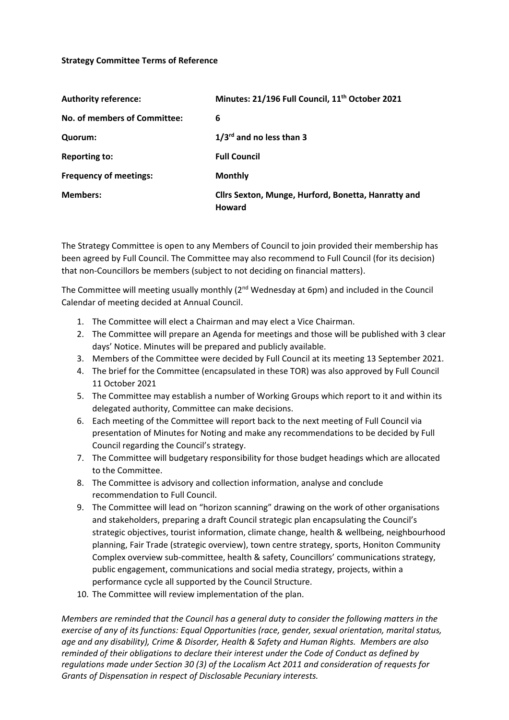## **Strategy Committee Terms of Reference**

| <b>Authority reference:</b>   | Minutes: 21/196 Full Council, 11 <sup>th</sup> October 2021          |
|-------------------------------|----------------------------------------------------------------------|
| No. of members of Committee:  | 6                                                                    |
| Quorum:                       | $1/3^{rd}$ and no less than 3                                        |
| <b>Reporting to:</b>          | <b>Full Council</b>                                                  |
| <b>Frequency of meetings:</b> | <b>Monthly</b>                                                       |
| <b>Members:</b>               | Cllrs Sexton, Munge, Hurford, Bonetta, Hanratty and<br><b>Howard</b> |

The Strategy Committee is open to any Members of Council to join provided their membership has been agreed by Full Council. The Committee may also recommend to Full Council (for its decision) that non-Councillors be members (subject to not deciding on financial matters).

The Committee will meeting usually monthly  $(2^{nd}$  Wednesday at 6pm) and included in the Council Calendar of meeting decided at Annual Council.

- 1. The Committee will elect a Chairman and may elect a Vice Chairman.
- 2. The Committee will prepare an Agenda for meetings and those will be published with 3 clear days' Notice. Minutes will be prepared and publicly available.
- 3. Members of the Committee were decided by Full Council at its meeting 13 September 2021.
- 4. The brief for the Committee (encapsulated in these TOR) was also approved by Full Council 11 October 2021
- 5. The Committee may establish a number of Working Groups which report to it and within its delegated authority, Committee can make decisions.
- 6. Each meeting of the Committee will report back to the next meeting of Full Council via presentation of Minutes for Noting and make any recommendations to be decided by Full Council regarding the Council's strategy.
- 7. The Committee will budgetary responsibility for those budget headings which are allocated to the Committee.
- 8. The Committee is advisory and collection information, analyse and conclude recommendation to Full Council.
- 9. The Committee will lead on "horizon scanning" drawing on the work of other organisations and stakeholders, preparing a draft Council strategic plan encapsulating the Council's strategic objectives, tourist information, climate change, health & wellbeing, neighbourhood planning, Fair Trade (strategic overview), town centre strategy, sports, Honiton Community Complex overview sub-committee, health & safety, Councillors' communications strategy, public engagement, communications and social media strategy, projects, within a performance cycle all supported by the Council Structure.
- 10. The Committee will review implementation of the plan.

*Members are reminded that the Council has a general duty to consider the following matters in the exercise of any of its functions: Equal Opportunities (race, gender, sexual orientation, marital status, age and any disability), Crime & Disorder, Health & Safety and Human Rights. Members are also reminded of their obligations to declare their interest under the Code of Conduct as defined by regulations made under Section 30 (3) of the Localism Act 2011 and consideration of requests for Grants of Dispensation in respect of Disclosable Pecuniary interests.*